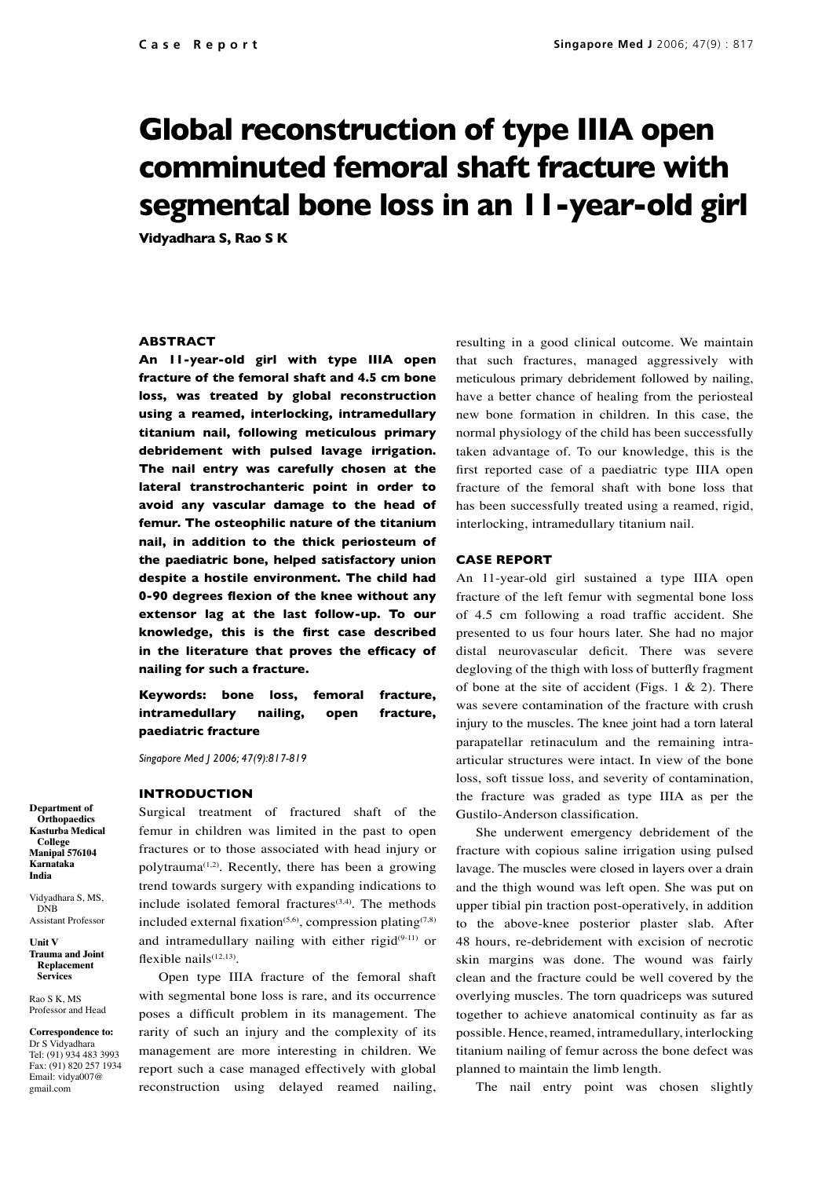# **Global reconstruction of type IIIA open comminuted femoral shaft fracture with segmental bone loss in an 11-year-old girl**

**Vidyadhara S, Rao S K**

## **ABSTRACT**

**An 11-year-old girl with type IIIA open fracture of the femoral shaft and 4.5 cm bone loss, was treated by global reconstruction using a reamed, interlocking, intramedullary titanium nail, following meticulous primary debridement with pulsed lavage irrigation. The nail entry was carefully chosen at the lateral transtrochanteric point in order to avoid any vascular damage to the head of femur. The osteophilic nature of the titanium nail, in addition to the thick periosteum of the paediatric bone, helped satisfactory union despite a hostile environment. The child had 0-90 degrees flexion of the knee without any extensor lag at the last follow-up. To our knowledge, this is the first case described in the literature that proves the efficacy of nailing for such a fracture.**

**Keywords: bone loss, femoral fracture, intramedullary nailing, open fracture, paediatric fracture** 

*Singapore Med J 2006; 47(9):817-819*

#### **INTRODUCTION**

Surgical treatment of fractured shaft of the femur in children was limited in the past to open fractures or to those associated with head injury or polytrauma<sup> $(1,2)$ </sup>. Recently, there has been a growing trend towards surgery with expanding indications to include isolated femoral fractures $(3,4)$ . The methods included external fixation<sup> $(5,6)$ </sup>, compression plating<sup> $(7,8)$ </sup> and intramedullary nailing with either rigid $(9-11)$  or flexible nails $(12,13)$ .

Open type IIIA fracture of the femoral shaft with segmental bone loss is rare, and its occurrence poses a difficult problem in its management. The rarity of such an injury and the complexity of its management are more interesting in children. We report such a case managed effectively with global reconstruction using delayed reamed nailing,

resulting in a good clinical outcome. We maintain that such fractures, managed aggressively with meticulous primary debridement followed by nailing, have a better chance of healing from the periosteal new bone formation in children. In this case, the normal physiology of the child has been successfully taken advantage of. To our knowledge, this is the first reported case of a paediatric type IIIA open fracture of the femoral shaft with bone loss that has been successfully treated using a reamed, rigid, interlocking, intramedullary titanium nail.

### **CASE REPORT**

An 11-year-old girl sustained a type IIIA open fracture of the left femur with segmental bone loss of 4.5 cm following a road traffic accident. She presented to us four hours later. She had no major distal neurovascular deficit. There was severe degloving of the thigh with loss of butterfly fragment of bone at the site of accident (Figs. 1  $\&$  2). There was severe contamination of the fracture with crush injury to the muscles. The knee joint had a torn lateral parapatellar retinaculum and the remaining intraarticular structures were intact. In view of the bone loss, soft tissue loss, and severity of contamination, the fracture was graded as type IIIA as per the Gustilo-Anderson classification.

She underwent emergency debridement of the fracture with copious saline irrigation using pulsed lavage. The muscles were closed in layers over a drain and the thigh wound was left open. She was put on upper tibial pin traction post-operatively, in addition to the above-knee posterior plaster slab. After 48 hours, re-debridement with excision of necrotic skin margins was done. The wound was fairly clean and the fracture could be well covered by the overlying muscles. The torn quadriceps was sutured together to achieve anatomical continuity as far as possible. Hence, reamed, intramedullary, interlocking titanium nailing of femur across the bone defect was planned to maintain the limb length.

The nail entry point was chosen slightly

**Department of Orthopaedics Kasturba Medical College Manipal 576104 Karnataka India**

Vidyadhara S, MS, **DNB** Assistant Professor

**Unit V Trauma and Joint Replacement Services** 

Rao S K, MS Professor and Head

**Correspondence to:** Dr S Vidyadhara Tel: (91) 934 483 3993 Fax: (91) 820 257 1934 Email: vidya007@ gmail.com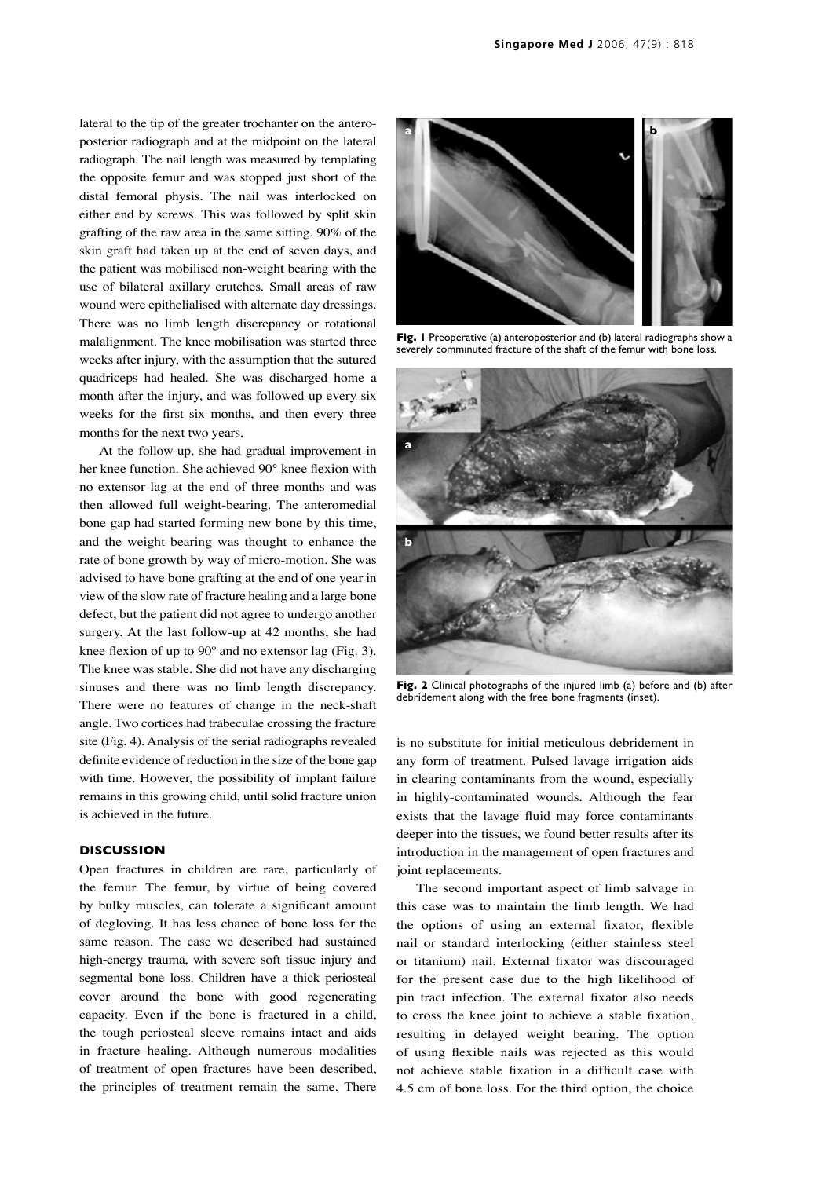lateral to the tip of the greater trochanter on the anteroposterior radiograph and at the midpoint on the lateral radiograph. The nail length was measured by templating the opposite femur and was stopped just short of the distal femoral physis. The nail was interlocked on either end by screws. This was followed by split skin grafting of the raw area in the same sitting. 90% of the skin graft had taken up at the end of seven days, and the patient was mobilised non-weight bearing with the use of bilateral axillary crutches. Small areas of raw wound were epithelialised with alternate day dressings. There was no limb length discrepancy or rotational malalignment. The knee mobilisation was started three weeks after injury, with the assumption that the sutured quadriceps had healed. She was discharged home a month after the injury, and was followed-up every six weeks for the first six months, and then every three months for the next two years.

At the follow-up, she had gradual improvement in her knee function. She achieved 90° knee flexion with no extensor lag at the end of three months and was then allowed full weight-bearing. The anteromedial bone gap had started forming new bone by this time, and the weight bearing was thought to enhance the rate of bone growth by way of micro-motion. She was advised to have bone grafting at the end of one year in view of the slow rate of fracture healing and a large bone defect, but the patient did not agree to undergo another surgery. At the last follow-up at 42 months, she had knee flexion of up to 90º and no extensor lag (Fig. 3). The knee was stable. She did not have any discharging sinuses and there was no limb length discrepancy. There were no features of change in the neck-shaft angle. Two cortices had trabeculae crossing the fracture site (Fig. 4). Analysis of the serial radiographs revealed definite evidence of reduction in the size of the bone gap with time. However, the possibility of implant failure remains in this growing child, until solid fracture union is achieved in the future.

# **DISCUSSION**

Open fractures in children are rare, particularly of the femur. The femur, by virtue of being covered by bulky muscles, can tolerate a significant amount of degloving. It has less chance of bone loss for the same reason. The case we described had sustained high-energy trauma, with severe soft tissue injury and segmental bone loss. Children have a thick periosteal cover around the bone with good regenerating capacity. Even if the bone is fractured in a child, the tough periosteal sleeve remains intact and aids in fracture healing. Although numerous modalities of treatment of open fractures have been described, the principles of treatment remain the same. There



**Fig. 1** Preoperative (a) anteroposterior and (b) lateral radiographs show a severely comminuted fracture of the shaft of the femur with bone loss.



**Fig. 2** Clinical photographs of the injured limb (a) before and (b) after debridement along with the free bone fragments (inset).

is no substitute for initial meticulous debridement in any form of treatment. Pulsed lavage irrigation aids in clearing contaminants from the wound, especially in highly-contaminated wounds. Although the fear exists that the lavage fluid may force contaminants deeper into the tissues, we found better results after its introduction in the management of open fractures and joint replacements.

The second important aspect of limb salvage in this case was to maintain the limb length. We had the options of using an external fixator, flexible nail or standard interlocking (either stainless steel or titanium) nail. External fixator was discouraged for the present case due to the high likelihood of pin tract infection. The external fixator also needs to cross the knee joint to achieve a stable fixation, resulting in delayed weight bearing. The option of using flexible nails was rejected as this would not achieve stable fixation in a difficult case with 4.5 cm of bone loss. For the third option, the choice